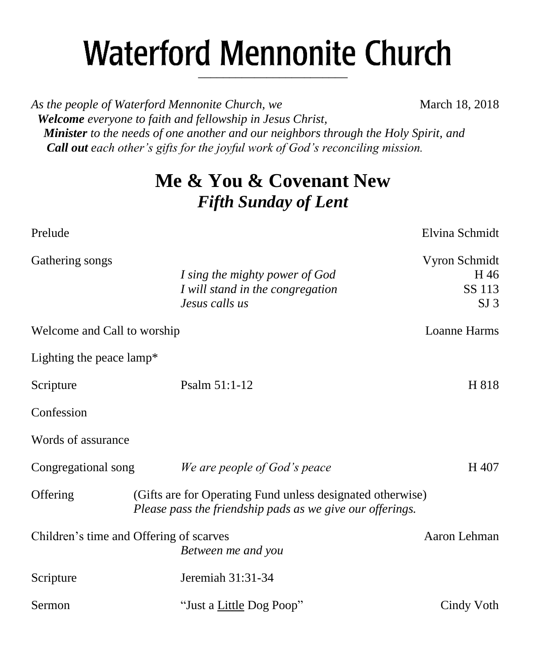# **Waterford Mennonite Church** \_\_\_\_\_\_\_\_\_\_\_\_\_\_\_\_\_\_\_\_\_\_\_\_

*As the people of Waterford Mennonite Church, we* March 18, 2018  *Welcome everyone to faith and fellowship in Jesus Christ, Minister to the needs of one another and our neighbors through the Holy Spirit, and Call out each other's gifts for the joyful work of God's reconciling mission.*

# **Me & You & Covenant New** *Fifth Sunday of Lent*

| Prelude                     |                                                                                                                         | Elvina Schmidt                                     |
|-----------------------------|-------------------------------------------------------------------------------------------------------------------------|----------------------------------------------------|
| Gathering songs             | I sing the mighty power of God<br>I will stand in the congregation<br>Jesus calls us                                    | Vyron Schmidt<br>H 46<br>SS 113<br>SI <sub>3</sub> |
| Welcome and Call to worship |                                                                                                                         | Loanne Harms                                       |
| Lighting the peace lamp*    |                                                                                                                         |                                                    |
| Scripture                   | Psalm 51:1-12                                                                                                           | H 818                                              |
| Confession                  |                                                                                                                         |                                                    |
| Words of assurance          |                                                                                                                         |                                                    |
| Congregational song         | We are people of God's peace                                                                                            | H 407                                              |
| Offering                    | (Gifts are for Operating Fund unless designated otherwise)<br>Please pass the friendship pads as we give our offerings. |                                                    |
|                             | Children's time and Offering of scarves<br>Between me and you                                                           | Aaron Lehman                                       |
| Scripture                   | Jeremiah 31:31-34                                                                                                       |                                                    |
| Sermon                      | "Just a Little Dog Poop"                                                                                                | Cindy Voth                                         |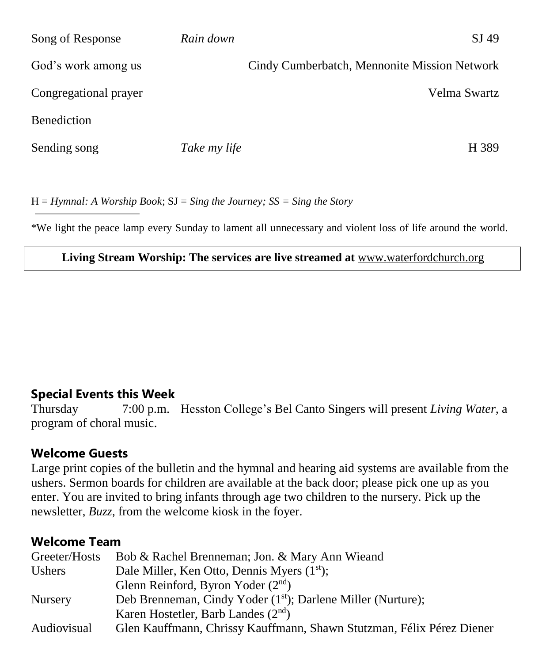| Song of Response      | Rain down    | SJ 49                                        |
|-----------------------|--------------|----------------------------------------------|
| God's work among us   |              | Cindy Cumberbatch, Mennonite Mission Network |
| Congregational prayer |              | Velma Swartz                                 |
| <b>Benediction</b>    |              |                                              |
| Sending song          | Take my life | H 389                                        |

H = *Hymnal: A Worship Book*; SJ = *Sing the Journey; SS = Sing the Story*

\*We light the peace lamp every Sunday to lament all unnecessary and violent loss of life around the world.

#### **Living Stream Worship: The services are live streamed at** [www.waterfordchurch.org](http://www.waterfordchurch.org/)

#### **Special Events this Week**

Thursday 7:00 p.m. Hesston College's Bel Canto Singers will present *Living Water,* a program of choral music.

#### **Welcome Guests**

Large print copies of the bulletin and the hymnal and hearing aid systems are available from the ushers. Sermon boards for children are available at the back door; please pick one up as you enter. You are invited to bring infants through age two children to the nursery. Pick up the newsletter, *Buzz,* from the welcome kiosk in the foyer.

#### **Welcome Team**

| Greeter/Hosts  | Bob & Rachel Brenneman; Jon. & Mary Ann Wieand                           |  |  |  |
|----------------|--------------------------------------------------------------------------|--|--|--|
| <b>Ushers</b>  | Dale Miller, Ken Otto, Dennis Myers (1 <sup>st</sup> );                  |  |  |  |
|                | Glenn Reinford, Byron Yoder $(2nd)$                                      |  |  |  |
| <b>Nursery</b> | Deb Brenneman, Cindy Yoder (1 <sup>st</sup> ); Darlene Miller (Nurture); |  |  |  |
|                | Karen Hostetler, Barb Landes $(2nd)$                                     |  |  |  |
| Audiovisual    | Glen Kauffmann, Chrissy Kauffmann, Shawn Stutzman, Félix Pérez Diener    |  |  |  |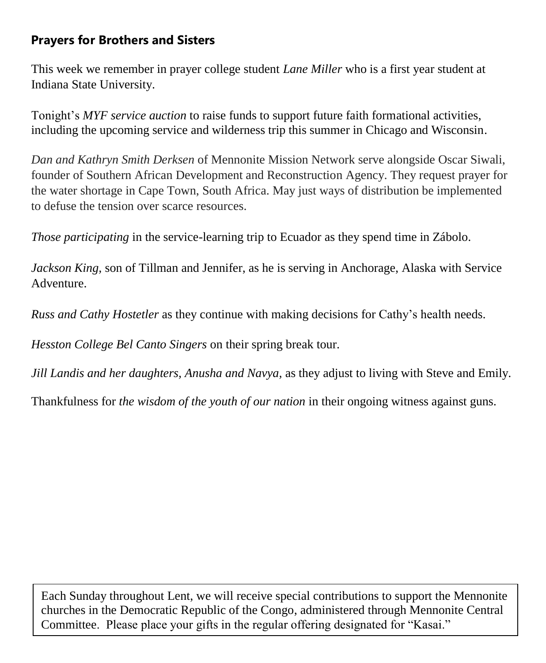### **Prayers for Brothers and Sisters**

This week we remember in prayer college student *Lane Miller* who is a first year student at Indiana State University.

Tonight's *MYF service auction* to raise funds to support future faith formational activities, including the upcoming service and wilderness trip this summer in Chicago and Wisconsin.

*Dan and Kathryn Smith Derksen* of Mennonite Mission Network serve alongside Oscar Siwali, founder of Southern African Development and Reconstruction Agency. They request prayer for the water shortage in Cape Town, South Africa. May just ways of distribution be implemented to defuse the tension over scarce resources.

*Those participating* in the service-learning trip to Ecuador as they spend time in Zábolo.

*Jackson King,* son of Tillman and Jennifer, as he is serving in Anchorage, Alaska with Service Adventure.

*Russ and Cathy Hostetler* as they continue with making decisions for Cathy's health needs.

*Hesston College Bel Canto Singers* on their spring break tour.

*Jill Landis and her daughters, Anusha and Navya,* as they adjust to living with Steve and Emily.

Thankfulness for *the wisdom of the youth of our nation* in their ongoing witness against guns.

Each Sunday throughout Lent, we will receive special contributions to support the Mennonite churches in the Democratic Republic of the Congo, administered through Mennonite Central Committee. Please place your gifts in the regular offering designated for "Kasai."